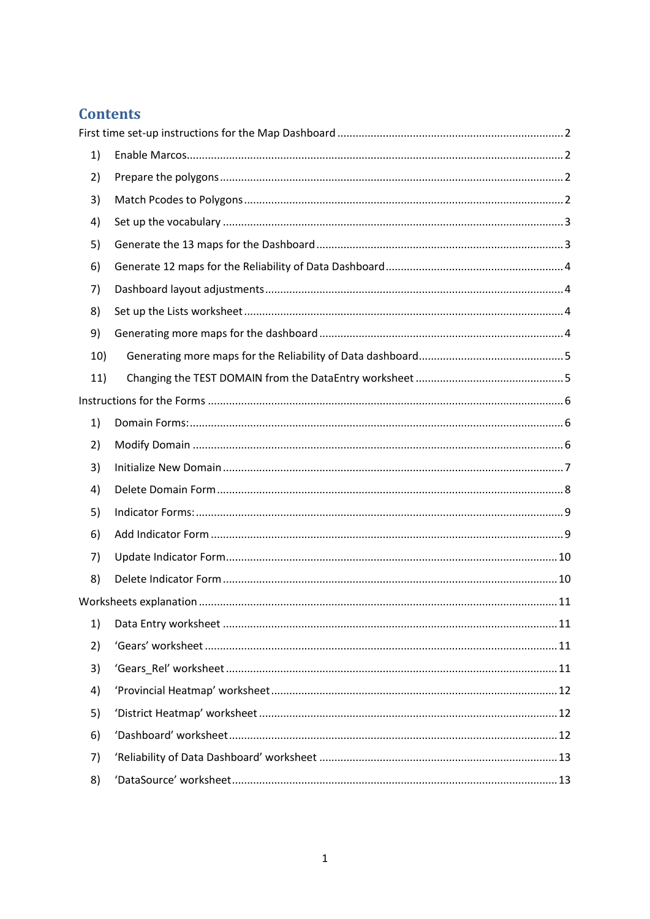# **Contents**

| 1)  |  |
|-----|--|
| 2)  |  |
| 3)  |  |
| 4)  |  |
| 5)  |  |
| 6)  |  |
| 7)  |  |
| 8)  |  |
| 9)  |  |
| 10) |  |
| 11) |  |
|     |  |
| 1)  |  |
| 2)  |  |
|     |  |
| 3)  |  |
| 4)  |  |
| 5)  |  |
| 6)  |  |
| 7)  |  |
| 8)  |  |
|     |  |
| 1)  |  |
| 2)  |  |
| 3)  |  |
| 4)  |  |
| 5)  |  |
| 6)  |  |
| 7)  |  |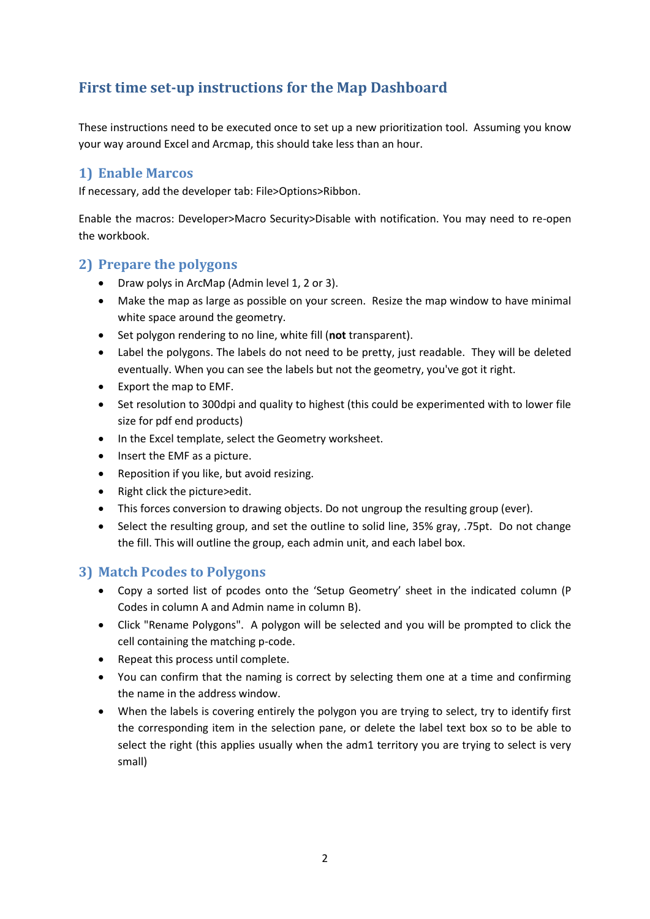# <span id="page-1-0"></span>**First time set-up instructions for the Map Dashboard**

These instructions need to be executed once to set up a new prioritization tool. Assuming you know your way around Excel and Arcmap, this should take less than an hour.

# <span id="page-1-1"></span>**1) Enable Marcos**

If necessary, add the developer tab: File>Options>Ribbon.

Enable the macros: Developer>Macro Security>Disable with notification. You may need to re-open the workbook.

## <span id="page-1-2"></span>**2) Prepare the polygons**

- Draw polys in ArcMap (Admin level 1, 2 or 3).
- Make the map as large as possible on your screen. Resize the map window to have minimal white space around the geometry.
- Set polygon rendering to no line, white fill (**not** transparent).
- Label the polygons. The labels do not need to be pretty, just readable. They will be deleted eventually. When you can see the labels but not the geometry, you've got it right.
- Export the map to EMF.
- Set resolution to 300dpi and quality to highest (this could be experimented with to lower file size for pdf end products)
- In the Excel template, select the Geometry worksheet.
- Insert the EMF as a picture.
- Reposition if you like, but avoid resizing.
- Right click the picture>edit.
- This forces conversion to drawing objects. Do not ungroup the resulting group (ever).
- Select the resulting group, and set the outline to solid line, 35% gray, .75pt. Do not change the fill. This will outline the group, each admin unit, and each label box.

## <span id="page-1-3"></span>**3) Match Pcodes to Polygons**

- Copy a sorted list of pcodes onto the 'Setup Geometry' sheet in the indicated column (P Codes in column A and Admin name in column B).
- Click "Rename Polygons". A polygon will be selected and you will be prompted to click the cell containing the matching p-code.
- Repeat this process until complete.
- You can confirm that the naming is correct by selecting them one at a time and confirming the name in the address window.
- When the labels is covering entirely the polygon you are trying to select, try to identify first the corresponding item in the selection pane, or delete the label text box so to be able to select the right (this applies usually when the adm1 territory you are trying to select is very small)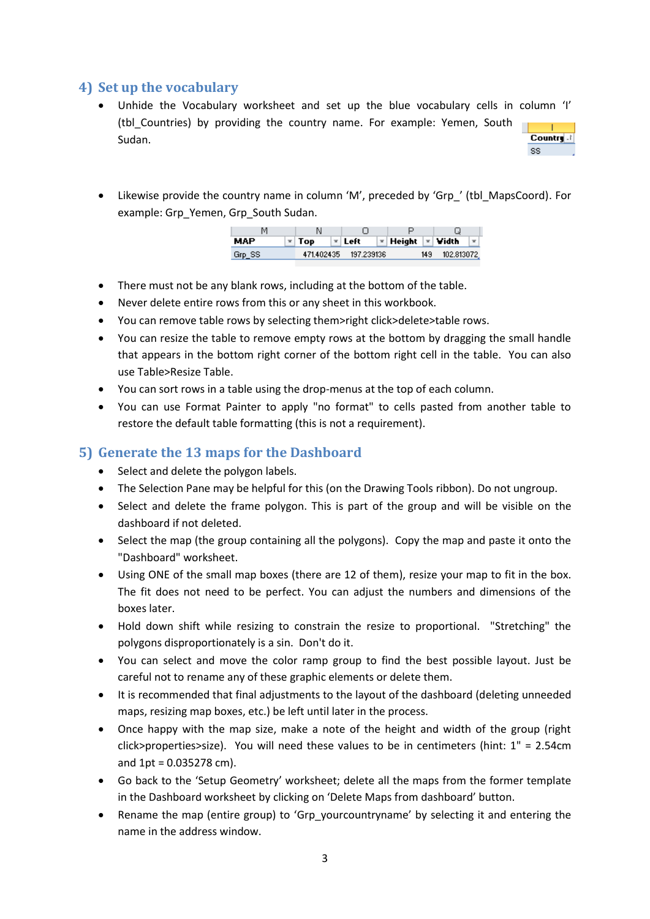# <span id="page-2-0"></span>**4) Set up the vocabulary**

- Unhide the Vocabulary worksheet and set up the blue vocabulary cells in column 'I' (tbl\_Countries) by providing the country name. For example: Yemen, South Country .! Sudan. SS.
- Likewise provide the country name in column 'M', preceded by 'Grp\_' (tbl\_MapsCoord). For example: Grp\_Yemen, Grp\_South Sudan.

| <b>MAP</b> | $=$ Top    | = Left     | $\mathbf{r}$ Height $\mathbf{r}$ Vidth |     |            |  |
|------------|------------|------------|----------------------------------------|-----|------------|--|
| Grp_SS     | 471,402435 | 197.239136 |                                        | 149 | 102.813072 |  |

- There must not be any blank rows, including at the bottom of the table.
- Never delete entire rows from this or any sheet in this workbook.
- You can remove table rows by selecting them>right click>delete>table rows.
- You can resize the table to remove empty rows at the bottom by dragging the small handle that appears in the bottom right corner of the bottom right cell in the table. You can also use Table>Resize Table.
- You can sort rows in a table using the drop-menus at the top of each column.
- You can use Format Painter to apply "no format" to cells pasted from another table to restore the default table formatting (this is not a requirement).

# <span id="page-2-1"></span>**5) Generate the 13 maps for the Dashboard**

- Select and delete the polygon labels.
- The Selection Pane may be helpful for this (on the Drawing Tools ribbon). Do not ungroup.
- Select and delete the frame polygon. This is part of the group and will be visible on the dashboard if not deleted.
- Select the map (the group containing all the polygons). Copy the map and paste it onto the "Dashboard" worksheet.
- Using ONE of the small map boxes (there are 12 of them), resize your map to fit in the box. The fit does not need to be perfect. You can adjust the numbers and dimensions of the boxes later.
- Hold down shift while resizing to constrain the resize to proportional. "Stretching" the polygons disproportionately is a sin. Don't do it.
- You can select and move the color ramp group to find the best possible layout. Just be careful not to rename any of these graphic elements or delete them.
- It is recommended that final adjustments to the layout of the dashboard (deleting unneeded maps, resizing map boxes, etc.) be left until later in the process.
- Once happy with the map size, make a note of the height and width of the group (right click>properties>size). You will need these values to be in centimeters (hint: 1" = 2.54cm and  $1pt = 0.035278$  cm).
- Go back to the 'Setup Geometry' worksheet; delete all the maps from the former template in the Dashboard worksheet by clicking on 'Delete Maps from dashboard' button.
- Rename the map (entire group) to 'Grp yourcountryname' by selecting it and entering the name in the address window.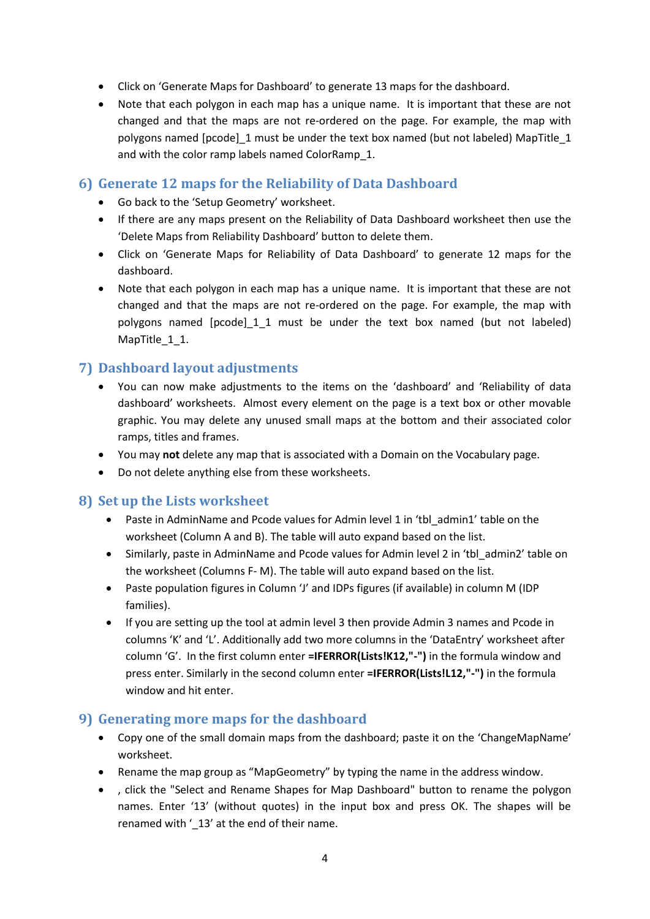- Click on 'Generate Maps for Dashboard' to generate 13 maps for the dashboard.
- Note that each polygon in each map has a unique name. It is important that these are not changed and that the maps are not re-ordered on the page. For example, the map with polygons named [pcode] 1 must be under the text box named (but not labeled) MapTitle 1 and with the color ramp labels named ColorRamp\_1.

# <span id="page-3-0"></span>**6) Generate 12 maps for the Reliability of Data Dashboard**

- Go back to the 'Setup Geometry' worksheet.
- If there are any maps present on the Reliability of Data Dashboard worksheet then use the 'Delete Maps from Reliability Dashboard' button to delete them.
- Click on 'Generate Maps for Reliability of Data Dashboard' to generate 12 maps for the dashboard.
- Note that each polygon in each map has a unique name. It is important that these are not changed and that the maps are not re-ordered on the page. For example, the map with polygons named [pcode]\_1\_1 must be under the text box named (but not labeled) MapTitle 1 1.

# <span id="page-3-1"></span>**7) Dashboard layout adjustments**

- You can now make adjustments to the items on the 'dashboard' and 'Reliability of data dashboard' worksheets. Almost every element on the page is a text box or other movable graphic. You may delete any unused small maps at the bottom and their associated color ramps, titles and frames.
- You may **not** delete any map that is associated with a Domain on the Vocabulary page.
- Do not delete anything else from these worksheets.

## <span id="page-3-2"></span>**8) Set up the Lists worksheet**

- Paste in AdminName and Pcode values for Admin level 1 in 'tbl\_admin1' table on the worksheet (Column A and B). The table will auto expand based on the list.
- Similarly, paste in AdminName and Pcode values for Admin level 2 in 'tbl\_admin2' table on the worksheet (Columns F- M). The table will auto expand based on the list.
- Paste population figures in Column 'J' and IDPs figures (if available) in column M (IDP families).
- If you are setting up the tool at admin level 3 then provide Admin 3 names and Pcode in columns 'K' and 'L'. Additionally add two more columns in the 'DataEntry' worksheet after column 'G'. In the first column enter **=IFERROR(Lists!K12,"-")** in the formula window and press enter. Similarly in the second column enter **=IFERROR(Lists!L12,"-")** in the formula window and hit enter.

## <span id="page-3-3"></span>**9) Generating more maps for the dashboard**

- Copy one of the small domain maps from the dashboard; paste it on the 'ChangeMapName' worksheet.
- Rename the map group as "MapGeometry" by typing the name in the address window.
- , click the "Select and Rename Shapes for Map Dashboard" button to rename the polygon names. Enter '13' (without quotes) in the input box and press OK. The shapes will be renamed with '\_13' at the end of their name.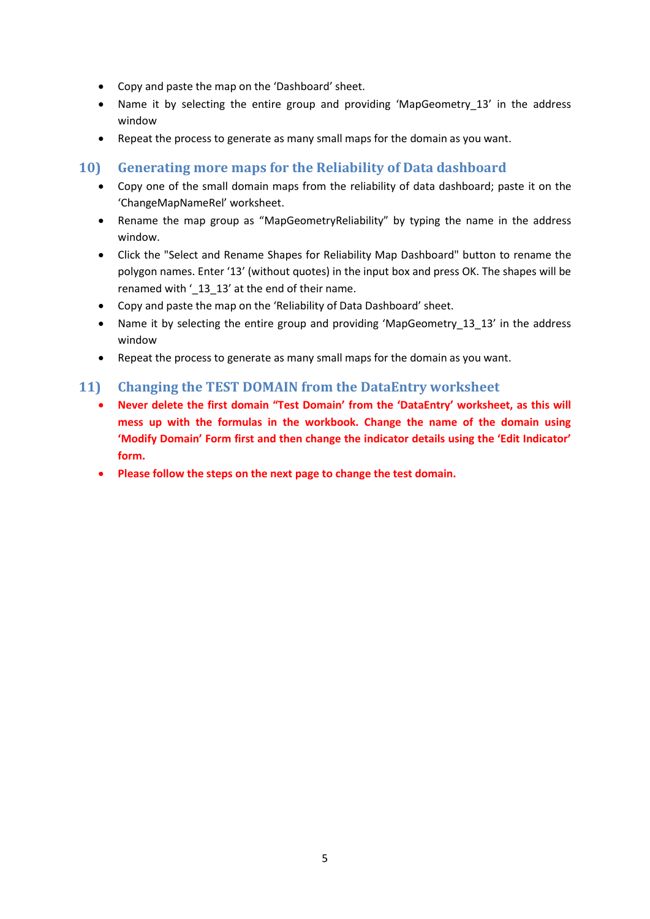- Copy and paste the map on the 'Dashboard' sheet.
- Name it by selecting the entire group and providing 'MapGeometry 13' in the address window
- Repeat the process to generate as many small maps for the domain as you want.

# <span id="page-4-0"></span>**10) Generating more maps for the Reliability of Data dashboard**

- Copy one of the small domain maps from the reliability of data dashboard; paste it on the 'ChangeMapNameRel' worksheet.
- Rename the map group as "MapGeometryReliability" by typing the name in the address window.
- Click the "Select and Rename Shapes for Reliability Map Dashboard" button to rename the polygon names. Enter '13' (without quotes) in the input box and press OK. The shapes will be renamed with '\_13\_13' at the end of their name.
- Copy and paste the map on the 'Reliability of Data Dashboard' sheet.
- Name it by selecting the entire group and providing 'MapGeometry 13 13' in the address window
- Repeat the process to generate as many small maps for the domain as you want.

# <span id="page-4-1"></span>**11) Changing the TEST DOMAIN from the DataEntry worksheet**

- **Never delete the first domain "Test Domain' from the 'DataEntry' worksheet, as this will mess up with the formulas in the workbook. Change the name of the domain using 'Modify Domain' Form first and then change the indicator details using the 'Edit Indicator' form.**
- **Please follow the steps on the next page to change the test domain.**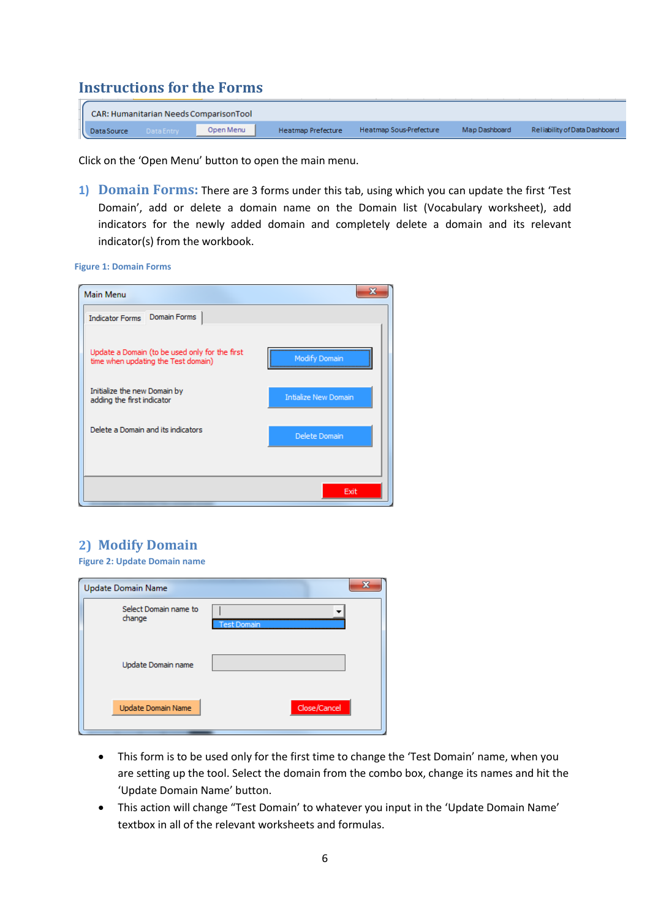# <span id="page-5-0"></span>**Instructions for the Forms**

|                   |            | CAR: Humanitarian Needs ComparisonTool |                    |                         |               |                               |
|-------------------|------------|----------------------------------------|--------------------|-------------------------|---------------|-------------------------------|
| <b>DataSource</b> | Data Entry | Open Menu                              | Heatmap Prefecture | Heatmap Sous-Prefecture | Map Dashboard | Reliability of Data Dashboard |

Click on the 'Open Menu' button to open the main menu.

<span id="page-5-1"></span>**1) Domain Forms:** There are 3 forms under this tab, using which you can update the first 'Test Domain', add or delete a domain name on the Domain list (Vocabulary worksheet), add indicators for the newly added domain and completely delete a domain and its relevant indicator(s) from the workbook.

**Figure 1: Domain Forms**

| Main Menu                                                                             |                             |
|---------------------------------------------------------------------------------------|-----------------------------|
| Domain Forms<br><b>Indicator Forms</b>                                                |                             |
| Update a Domain (to be used only for the first<br>time when updating the Test domain) | <b>Modify Domain</b>        |
| Initialize the new Domain by<br>adding the first indicator                            | <b>Intialize New Domain</b> |
| Delete a Domain and its indicators                                                    | Delete Domain               |
|                                                                                       |                             |
|                                                                                       | Exit                        |

# <span id="page-5-2"></span>**2) Modify Domain**

**Figure 2: Update Domain name**

| Update Domain Name |                       |                    | x |
|--------------------|-----------------------|--------------------|---|
| change             | Select Domain name to | <b>Test Domain</b> |   |
|                    | Update Domain name    |                    |   |
|                    | Update Domain Name    | Close/Cancel       |   |

- This form is to be used only for the first time to change the 'Test Domain' name, when you are setting up the tool. Select the domain from the combo box, change its names and hit the 'Update Domain Name' button.
- This action will change "Test Domain' to whatever you input in the 'Update Domain Name' textbox in all of the relevant worksheets and formulas.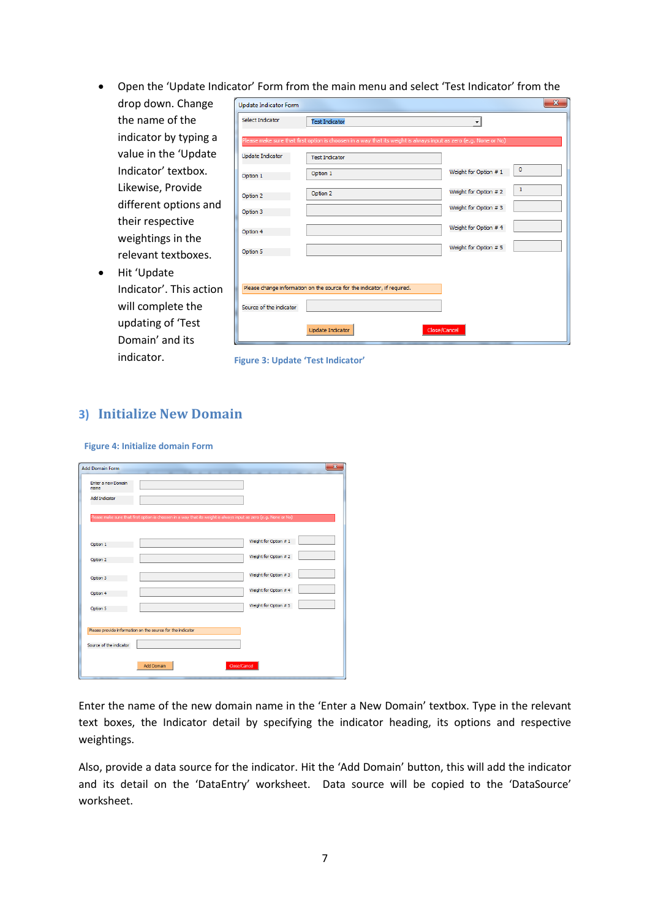Open the 'Update Indicator' Form from the main menu and select 'Test Indicator' from the

| drop down. Change        | <b>Update Indicator Form</b> |                                                                                                                  |                                       | $\mathbf{x}$ |
|--------------------------|------------------------------|------------------------------------------------------------------------------------------------------------------|---------------------------------------|--------------|
| the name of the          | Select Indicator             | <b>Test Indicator</b>                                                                                            |                                       |              |
| indicator by typing a    |                              | Please make sure that first option is choosen in a way that its weight is always input as zero (e.g. None or No) |                                       |              |
| value in the 'Update     | Update Indicator             | <b>Test Indicator</b>                                                                                            |                                       |              |
| Indicator' textbox.      | Option 1                     | Option 1                                                                                                         | $\circ$<br>Weight for Option # 1      |              |
| Likewise, Provide        |                              | Option 2                                                                                                         | $\mathbf{1}$<br>Weight for Option # 2 |              |
| different options and    | Option 2                     |                                                                                                                  | Weight for Option # 3                 |              |
| their respective         | Option 3                     |                                                                                                                  | Weight for Option # 4                 |              |
| weightings in the        | Option 4                     |                                                                                                                  |                                       |              |
| relevant textboxes.      | Option 5                     |                                                                                                                  | Weight for Option # 5                 |              |
| Hit 'Update<br>$\bullet$ |                              |                                                                                                                  |                                       |              |
| Indicator'. This action  |                              | Please change information on the source for the indicator, if required.                                          |                                       |              |
| will complete the        | Source of the indicator      |                                                                                                                  |                                       |              |
| updating of 'Test        |                              |                                                                                                                  |                                       |              |
| Domain' and its          |                              | <b>Undate Indicator</b>                                                                                          | Close/Cancel                          |              |

**Figure 3: Update 'Test Indicator'**

#### <span id="page-6-0"></span>**3) Initialize New Domain**

#### **Figure 4: Initialize domain Form**

indicator.

| <b>Add Domain Form</b>     |                                                                                                                  |                       | $\overline{\mathbf{x}}$ |
|----------------------------|------------------------------------------------------------------------------------------------------------------|-----------------------|-------------------------|
| Enter a new Domain<br>name |                                                                                                                  |                       |                         |
| <b>Add Indicator</b>       |                                                                                                                  |                       |                         |
|                            | Please make sure that first option is choosen in a way that its weight is always input as zero (e.g. None or No) |                       |                         |
| Option 1                   |                                                                                                                  | Weight for Option #1  |                         |
| Option 2                   |                                                                                                                  | Weight for Option # 2 |                         |
| Option 3                   |                                                                                                                  | Weight for Option #3  |                         |
| Option 4                   |                                                                                                                  | Weight for Option # 4 |                         |
| Option 5                   |                                                                                                                  | Weight for Option # 5 |                         |
|                            | Please provide information on the source for the indicator                                                       |                       |                         |
| Source of the indicator    |                                                                                                                  |                       |                         |
|                            | Close/Cancel<br><b>Add Domain</b>                                                                                |                       |                         |
|                            |                                                                                                                  |                       |                         |

Enter the name of the new domain name in the 'Enter a New Domain' textbox. Type in the relevant text boxes, the Indicator detail by specifying the indicator heading, its options and respective weightings.

Also, provide a data source for the indicator. Hit the 'Add Domain' button, this will add the indicator and its detail on the 'DataEntry' worksheet. Data source will be copied to the 'DataSource' worksheet.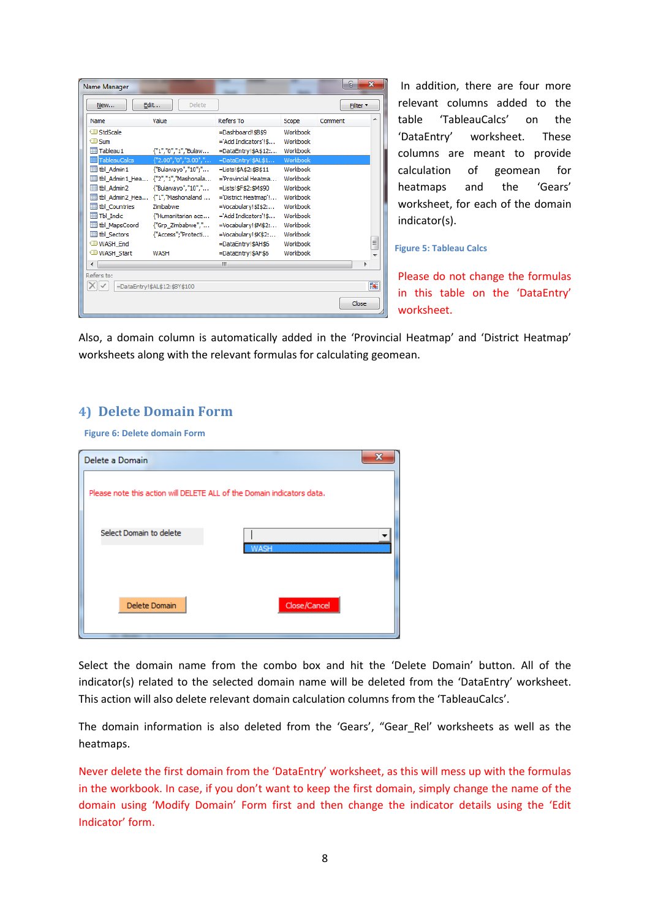| Name Manager            |                                                              |                           |          | Đ<br>$\mathbf{x}$ |
|-------------------------|--------------------------------------------------------------|---------------------------|----------|-------------------|
| New                     | Edit<br>Delete                                               |                           |          | Filter *          |
| Name                    | Value                                                        | <b>Refers To</b>          | Scope    | ▴<br>Comment      |
| StdScale                |                                                              | =Dashboard!\$B\$9         | Workbook |                   |
| <b><sup>i</sup></b> Sum |                                                              | ='Add Indicators'!\$      | Workbook |                   |
| Tableau1                | {"1","0","1","Bulaw                                          | =DataEntry!\$A\$12:       | Workbook |                   |
| TableauCalcs            | ${^{\circ}}2.00", "0", "3.00", ".$                           | =DataEntry!\$AL\$1        | Workbook |                   |
| <b>the Admin 1</b>      | {"Bulawayo","10";"                                           | $=$ Lists! $$A$2: $B$11$  | Workbook |                   |
|                         |                                                              | $=$ Provincial Heatma     | Workbook |                   |
| tbl Admin2              | {"Bulawayo","10","                                           | =Lists! \$F\$2: \$M\$90   | Workbook |                   |
|                         | $\boxplus$ tbl Admin2 Hea $\{T1$ <sup>"</sup> , "Mashonaland | ='District Heatmap'!      | Workbook |                   |
| tbl Countries           | Zimbabwe                                                     | $=$ Vocabulary! $$I$$2$ : | Workbook |                   |
| <b>The Indic</b>        | THumanitarian ace                                            | ='Add Indicators'!\$      | Workbook |                   |
| tbl MapsCoord           | {"Grp_Zimbabwe","                                            | =Vocabulary!\$M\$2:       | Workbook |                   |
| the Sectors             | {"Access"; "Protecti                                         | =Vocabulary!\$K\$2:       | Workbook |                   |
| WASH End                |                                                              | =DataEntry!\$AH\$6        | Workbook | E                 |
| <b>JUNASH Start</b>     | WASH                                                         | =DataEntry!\$AF\$6        | Workbook | ٠                 |
| ∢                       |                                                              | ш                         |          | Þ                 |
| Refers to:              |                                                              |                           |          |                   |
|                         | =DataEntry!\$AL\$12:\$BY\$100                                |                           |          | 嶐                 |
|                         |                                                              |                           |          | Close             |

In addition, there are four more relevant columns added to the table 'TableauCalcs' on the 'DataEntry' worksheet. These columns are meant to provide calculation of geomean for heatmaps and the 'Gears' worksheet, for each of the domain indicator(s).

#### **Figure 5: Tableau Calcs**

Please do not change the formulas in this table on the 'DataEntry' worksheet.

Also, a domain column is automatically added in the 'Provincial Heatmap' and 'District Heatmap' worksheets along with the relevant formulas for calculating geomean.

# <span id="page-7-0"></span>**4) Delete Domain Form**

**Figure 6: Delete domain Form**

| Delete a Domain         | х                                                                      |
|-------------------------|------------------------------------------------------------------------|
|                         | Please note this action will DELETE ALL of the Domain indicators data. |
| Select Domain to delete |                                                                        |
|                         |                                                                        |
| Delete Domain           | Close/Cancel                                                           |

Select the domain name from the combo box and hit the 'Delete Domain' button. All of the indicator(s) related to the selected domain name will be deleted from the 'DataEntry' worksheet. This action will also delete relevant domain calculation columns from the 'TableauCalcs'.

The domain information is also deleted from the 'Gears', "Gear Rel' worksheets as well as the heatmaps.

Never delete the first domain from the 'DataEntry' worksheet, as this will mess up with the formulas in the workbook. In case, if you don't want to keep the first domain, simply change the name of the domain using 'Modify Domain' Form first and then change the indicator details using the 'Edit Indicator' form.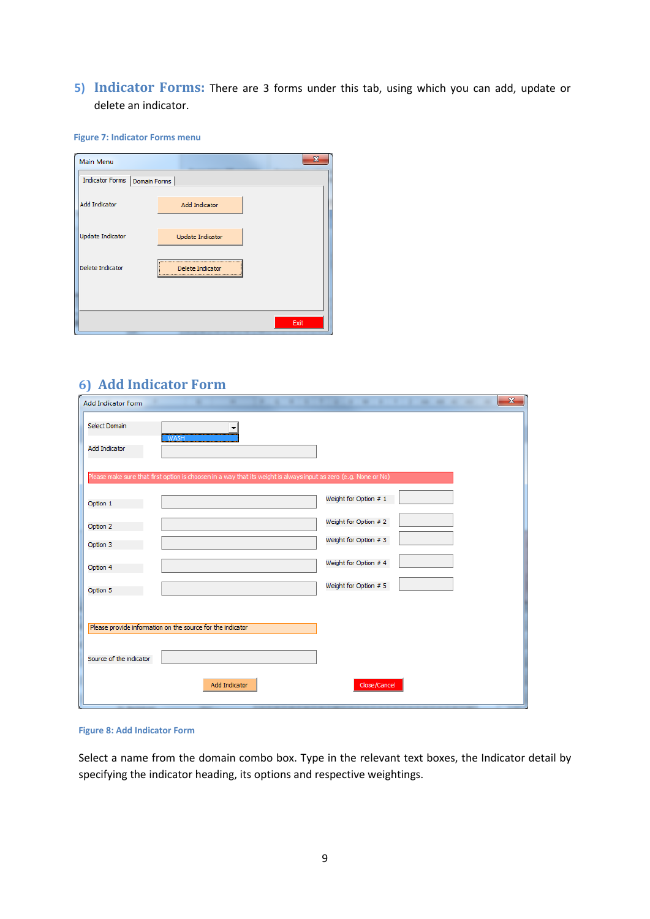<span id="page-8-0"></span>**5) Indicator Forms:** There are 3 forms under this tab, using which you can add, update or delete an indicator.

**Figure 7: Indicator Forms menu**

| Main Menu                      |                      |      |  |
|--------------------------------|----------------------|------|--|
| Indicator Forms   Domain Forms |                      |      |  |
| <b>Add Indicator</b>           | <b>Add Indicator</b> |      |  |
| <b>Update Indicator</b>        | Update Indicator     |      |  |
| Delete Indicator               | Delete Indicator     |      |  |
|                                |                      |      |  |
|                                |                      | Exit |  |

# <span id="page-8-1"></span>**6) Add Indicator Form**

| <b>Add Indicator Form</b> |                                                                                                                  |                       | <b>ALC: NO</b> | $\mathbf{x}$<br>m<br>٠ |
|---------------------------|------------------------------------------------------------------------------------------------------------------|-----------------------|----------------|------------------------|
| Select Domain             | <b>WASH</b>                                                                                                      |                       |                |                        |
| <b>Add Indicator</b>      |                                                                                                                  |                       |                |                        |
|                           | Please make sure that first option is choosen in a way that its weight is always input as zero (e.g. None or No) |                       |                |                        |
| Option 1                  |                                                                                                                  | Weight for Option # 1 |                |                        |
| Option 2                  |                                                                                                                  | Weight for Option # 2 |                |                        |
| Option 3                  |                                                                                                                  | Weight for Option #3  |                |                        |
| Option 4                  |                                                                                                                  | Weight for Option # 4 |                |                        |
| Option 5                  |                                                                                                                  | Weight for Option # 5 |                |                        |
|                           |                                                                                                                  |                       |                |                        |
|                           | Please provide information on the source for the indicator                                                       |                       |                |                        |
|                           |                                                                                                                  |                       |                |                        |
| Source of the indicator   |                                                                                                                  |                       |                |                        |
|                           | <b>Add Indicator</b>                                                                                             | Close/Cancel          |                |                        |
|                           |                                                                                                                  |                       |                |                        |

#### **Figure 8: Add Indicator Form**

Select a name from the domain combo box. Type in the relevant text boxes, the Indicator detail by specifying the indicator heading, its options and respective weightings.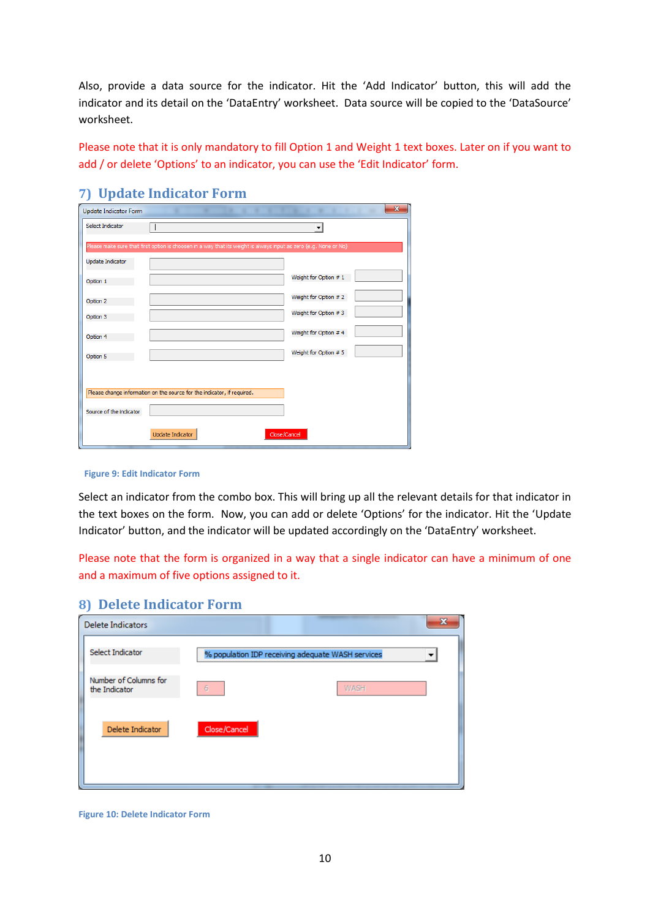Also, provide a data source for the indicator. Hit the 'Add Indicator' button, this will add the indicator and its detail on the 'DataEntry' worksheet. Data source will be copied to the 'DataSource' worksheet.

Please note that it is only mandatory to fill Option 1 and Weight 1 text boxes. Later on if you want to add / or delete 'Options' to an indicator, you can use the 'Edit Indicator' form.

| <b>Update Indicator Form</b> | $\mathbf{x}$                                                                                                     |
|------------------------------|------------------------------------------------------------------------------------------------------------------|
| Select Indicator             | $\overline{\phantom{a}}$                                                                                         |
|                              | Please make sure that first option is choosen in a way that its weight is always input as zero (e.g. None or No) |
| Update Indicator             |                                                                                                                  |
| Option 1                     | Weight for Option # 1                                                                                            |
| Option 2                     | Weight for Option # 2                                                                                            |
| Option 3                     | Weight for Option #3                                                                                             |
| Option 4                     | Weight for Option # 4                                                                                            |
| Option 5                     | Weight for Option # 5                                                                                            |
|                              |                                                                                                                  |
|                              | Please change information on the source for the indicator, if required.                                          |
| Source of the indicator      |                                                                                                                  |
|                              |                                                                                                                  |
|                              | Close/Cancel<br>Update Indicator                                                                                 |

## <span id="page-9-0"></span>**7) Update Indicator Form**

#### **Figure 9: Edit Indicator Form**

Select an indicator from the combo box. This will bring up all the relevant details for that indicator in the text boxes on the form. Now, you can add or delete 'Options' for the indicator. Hit the 'Update Indicator' button, and the indicator will be updated accordingly on the 'DataEntry' worksheet.

Please note that the form is organized in a way that a single indicator can have a minimum of one and a maximum of five options assigned to it.

#### <span id="page-9-1"></span>**8) Delete Indicator Form**

| <b>Delete Indicators</b>               |                                                   | x |
|----------------------------------------|---------------------------------------------------|---|
| Select Indicator                       | % population IDP receiving adequate WASH services | ▼ |
| Number of Columns for<br>the Indicator | WASH<br>6                                         |   |
| Delete Indicator                       | Close/Cancel                                      |   |

**Figure 10: Delete Indicator Form**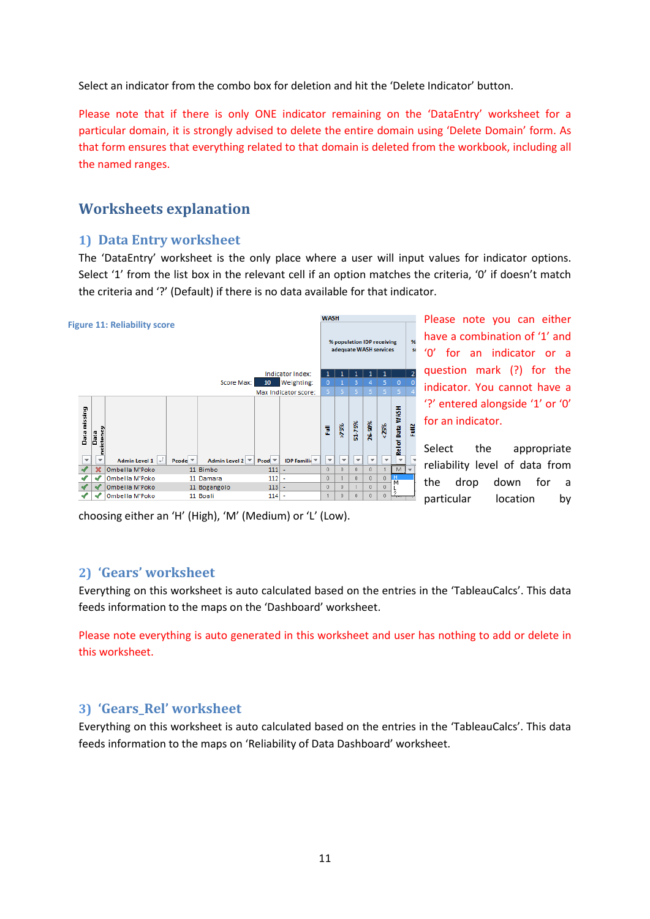Select an indicator from the combo box for deletion and hit the 'Delete Indicator' button.

Please note that if there is only ONE indicator remaining on the 'DataEntry' worksheet for a particular domain, it is strongly advised to delete the entire domain using 'Delete Domain' form. As that form ensures that everything related to that domain is deleted from the workbook, including all the named ranges.

# <span id="page-10-0"></span>**Worksheets explanation**

## <span id="page-10-1"></span>**1) Data Entry worksheet**

The 'DataEntry' worksheet is the only place where a user will input values for indicator options. Select '1' from the list box in the relevant cell if an option matches the criteria, '0' if doesn't match the criteria and '?' (Default) if there is no data available for that indicator.



Please note you can either have a combination of '1' and '0' for an indicator or a question mark (?) for the indicator. You cannot have a '?' entered alongside '1' or '0' for an indicator.

Select the appropriate reliability level of data from the drop down for a particular location by

choosing either an 'H' (High), 'M' (Medium) or 'L' (Low).

## <span id="page-10-2"></span>**2) 'Gears' worksheet**

Everything on this worksheet is auto calculated based on the entries in the 'TableauCalcs'. This data feeds information to the maps on the 'Dashboard' worksheet.

Please note everything is auto generated in this worksheet and user has nothing to add or delete in this worksheet.

## <span id="page-10-3"></span>**3) 'Gears\_Rel' worksheet**

Everything on this worksheet is auto calculated based on the entries in the 'TableauCalcs'. This data feeds information to the maps on 'Reliability of Data Dashboard' worksheet.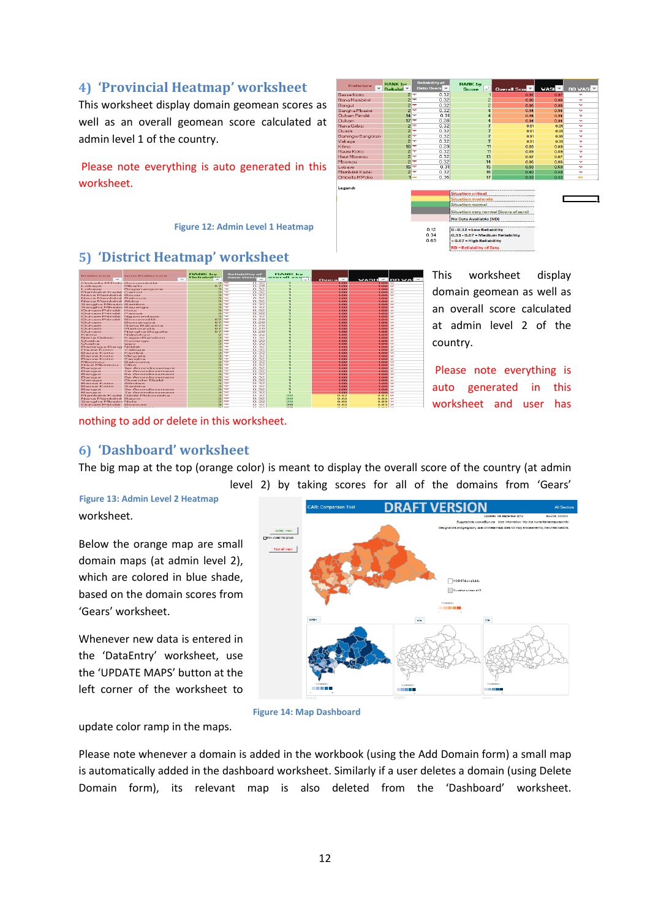# <span id="page-11-0"></span>**4) 'Provincial Heatmap' worksheet**

This worksheet display domain geomean scores as well as an overall geomean score calculated at admin level 1 of the country.

Please note everything is auto generated in this worksheet.

#### **Figure 12: Admin Level 1 Heatmap**



#### <span id="page-11-1"></span>**5) 'District Heatmap' worksheet**



This worksheet display domain geomean as well as an overall score calculated at admin level 2 of the country.

Please note everything is auto generated in this worksheet and user has

# <span id="page-11-2"></span>**6) 'Dashboard' worksheet**

nothing to add or delete in this worksheet.

The big map at the top (orange color) is meant to display the overall score of the country (at admin level 2) by taking scores for all of the domains from 'Gears'

#### worksheet. **Figure 13: Admin Level 2 Heatmap**

Below the orange map are small domain maps (at admin level 2), which are colored in blue shade, based on the domain scores from 'Gears' worksheet.

Whenever new data is entered in the 'DataEntry' worksheet, use the 'UPDATE MAPS' button at the left corner of the worksheet to



**Figure 14: Map Dashboard**

update color ramp in the maps.

Please note whenever a domain is added in the workbook (using the Add Domain form) a small map is automatically added in the dashboard worksheet. Similarly if a user deletes a domain (using Delete Domain form), its relevant map is also deleted from the 'Dashboard' worksheet.